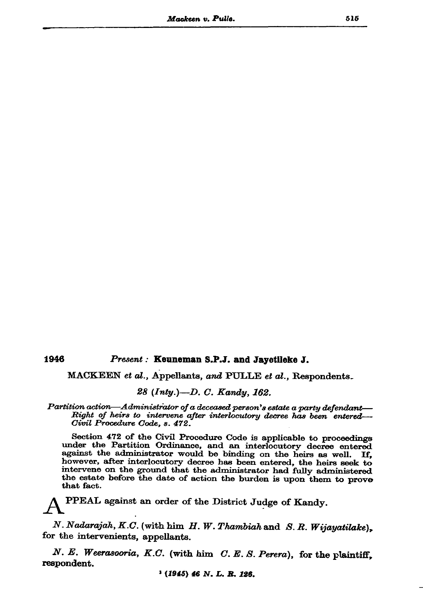1946

## Present: Keuneman S.P.J. and Jayetileke J.

MACKEEN et al., Appellants, and PULLE et al., Respondents.

28 (Inty.)-D. C. Kandy, 162.

Partition action—Administrator of a deceased person's estate a party defendant— Right of heirs to intervene after interlocutory decree has been entered— Civil Procedure Code, s. 472.

Section 472 of the Civil Procedure Code is applicable to proceedings under the Partition Ordinance, and an interlocutory decree entered against the administrator would be binding on the heirs as well. If. however, after interlocutory decree has been entered, the heirs seek to intervene on the ground that the administrator had fully administered the estate before the date of action the burden is upon them to prove that fact.

PPEAL against an order of the District Judge of Kandy.

N. Nadarajah, K.C. (with him  $H.$  W. Thambiah and S.R. Wijayatilake), for the intervenients, appellants.

N. E. Weerasooria, K.C. (with him C. E. S. Perera), for the plaintiff, respondent.

 $(1945)$  46 N.L.R.126.